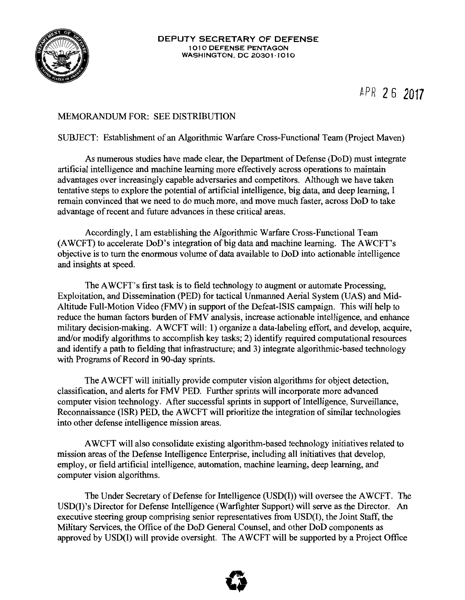

## MEMORANDUM FOR: SEE DISTRIBUTION

## SUBJECT: Establishment of an Algorithmic Warfare Cross-Functional Team (Project Maven)

As numerous studies have made clear, the Department of Defense (DoD) must integrate artificial intelligence and machine learning more effectively across operations to maintain advantages over increasingly capable adversaries and competitors. Although we have taken tentative steps to explore the potential of artificial intelligence, big data, and deep learning, I remain convinced that we need to do much more, and move much faster, across DoD to take advantage of recent and future advances in these critical areas.

Accordingly, I am establishing the Algorithmic Warfare Cross-Functional Team (AWCFT) to accelerate DoD's integration of big data and machine learning. The AWCFT's objective is to tum the enormous volume of data available to DoD into actionable intelligence and insights at speed.

The AWCFT's first task is to field technology to augment or automate Processing, Exploitation, and Dissemination (PED) for tactical Unmanned Aerial System (UAS) and Mid-Altitude Full-Motion Video (FMV) in support of the Defeat-ISIS campaign. This will help to reduce the human factors burden of FMV analysis, increase actionable intelligence, and enhance military decision-making. A WCFT will: 1) organize a data-labeling effort, and develop, acquire, and/or modify algorithms to accomplish key tasks; 2) identify required computational resources and identify a path to fielding that infrastructure; and 3) integrate algorithmic-based technology with Programs of Record in 90-day sprints.

The A WCFT will initially provide computer vision algorithms for object detection, classification, and alerts for FMV PED. Further sprints will incorporate more advanced computer vision technology. After successful sprints in support of Intelligence, Surveillance, Reconnaissance (ISR) PED, the A WCFT will prioritize the integration of similar technologies into other defense intelligence mission areas.

A WCFT will also consolidate existing algorithm-based technology initiatives related to mission areas of the Defense Intelligence Enterprise, including all initiatives that develop, employ, or field artificial intelligence, automation, machine learning, deep learning, and computer vision algorithms.

The Under Secretary of Defense for Intelligence (USD(I)) will oversee the AWCFT. The USD(I)'s Director for Defense Intelligence (Warfighter Support) will serve as the Director. An executive steering group comprising senior representatives from USD(I), the Joint Staff, the Military Services, the Office of the DoD General Counsel, and other DoD components as approved by USD(I) will provide oversight. The AWCFT will be supported by a Project Office

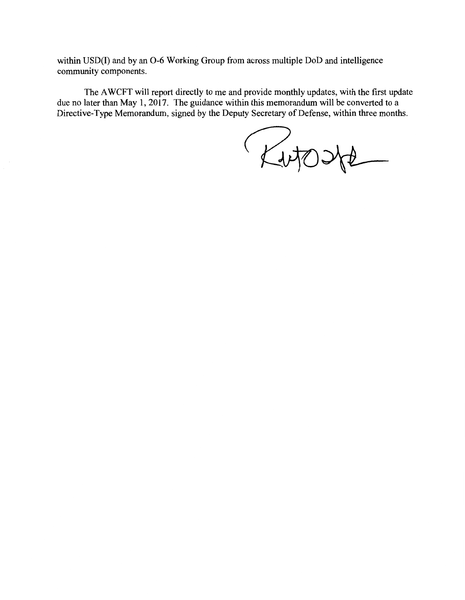within USD(I) and by an 0-6 Working Group from across multiple DoD and intelligence community components.

The A WCFT will report directly to me and provide monthly updates, with the first update due no later than May 1, 2017. The guidance within this memorandum will be converted to a Directive-Type Memorandum, signed by the Deputy Secretary of Defense, within three months.

Kutoste